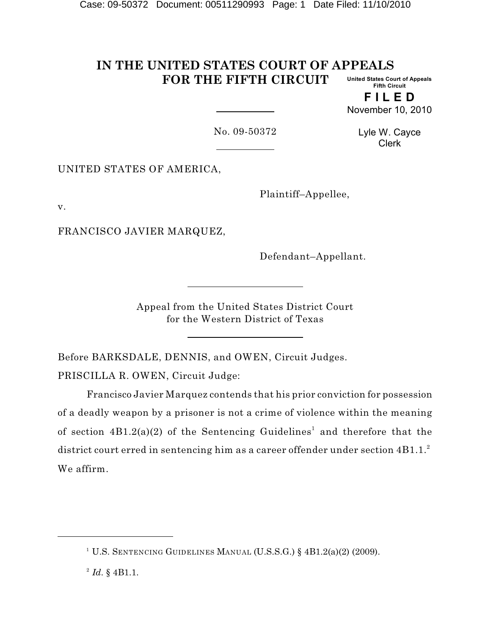#### **IN THE UNITED STATES COURT OF APPEALS FOR THE FIFTH CIRCUIT United States Court of Appeals Fifth Circuit**

**F I L E D** November 10, 2010

No. 09-50372

Lyle W. Cayce Clerk

UNITED STATES OF AMERICA,

Plaintiff–Appellee,

v.

FRANCISCO JAVIER MARQUEZ,

Defendant–Appellant.

Appeal from the United States District Court for the Western District of Texas

Before BARKSDALE, DENNIS, and OWEN, Circuit Judges. PRISCILLA R. OWEN, Circuit Judge:

Francisco Javier Marquez contends that his prior conviction for possession of a deadly weapon by a prisoner is not a crime of violence within the meaning of section  $4B1.2(a)(2)$  of the Sentencing Guidelines<sup>1</sup> and therefore that the district court erred in sentencing him as a career offender under section 4B1.1. $^{2}$ We affirm.

 $^{2}$  *Id.* § 4B1.1.

<sup>&</sup>lt;sup>1</sup> U.S. SENTENCING GUIDELINES MANUAL (U.S.S.G.)  $§$  4B1.2(a)(2) (2009).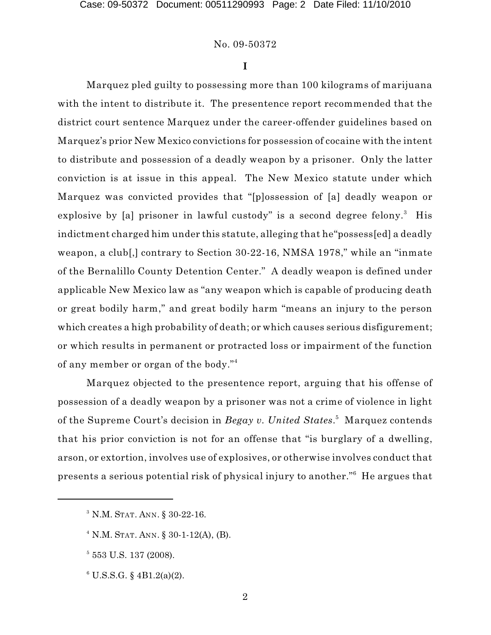**I**

Marquez pled guilty to possessing more than 100 kilograms of marijuana with the intent to distribute it. The presentence report recommended that the district court sentence Marquez under the career-offender guidelines based on Marquez's prior New Mexico convictions for possession of cocaine with the intent to distribute and possession of a deadly weapon by a prisoner. Only the latter conviction is at issue in this appeal. The New Mexico statute under which Marquez was convicted provides that "[p]ossession of [a] deadly weapon or explosive by [a] prisoner in lawful custody" is a second degree felony.<sup>3</sup> His indictment charged him under this statute, alleging that he"possess[ed] a deadly weapon, a club[,] contrary to Section 30-22-16, NMSA 1978," while an "inmate of the Bernalillo County Detention Center." A deadly weapon is defined under applicable New Mexico law as "any weapon which is capable of producing death or great bodily harm," and great bodily harm "means an injury to the person which creates a high probability of death; or which causes serious disfigurement; or which results in permanent or protracted loss or impairment of the function of any member or organ of the body." 4

Marquez objected to the presentence report, arguing that his offense of possession of a deadly weapon by a prisoner was not a crime of violence in light of the Supreme Court's decision in *Begay v. United States*. Marquez contends 5 that his prior conviction is not for an offense that "is burglary of a dwelling, arson, or extortion, involves use of explosives, or otherwise involves conduct that presents a serious potential risk of physical injury to another."<sup>6</sup> He argues that

 $3$  N.M. Stat. Ann. § 30-22-16.

 $4$  N.M. Stat. Ann. § 30-1-12(A), (B).

 $553$  U.S. 137 (2008).

 $6$  U.S.S.G. § 4B1.2(a)(2).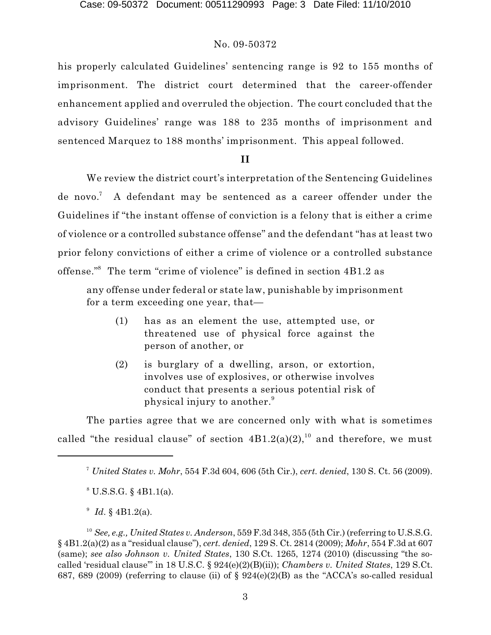his properly calculated Guidelines' sentencing range is 92 to 155 months of imprisonment. The district court determined that the career-offender enhancement applied and overruled the objection. The court concluded that the advisory Guidelines' range was 188 to 235 months of imprisonment and sentenced Marquez to 188 months' imprisonment. This appeal followed.

# **II**

We review the district court's interpretation of the Sentencing Guidelines de novo.<sup>7</sup> A defendant may be sentenced as a career offender under the Guidelines if "the instant offense of conviction is a felony that is either a crime of violence or a controlled substance offense" and the defendant "has at least two prior felony convictions of either a crime of violence or a controlled substance offense."<sup>8</sup> The term "crime of violence" is defined in section 4B1.2 as

any offense under federal or state law, punishable by imprisonment for a term exceeding one year, that—

- (1) has as an element the use, attempted use, or threatened use of physical force against the person of another, or
- (2) is burglary of a dwelling, arson, or extortion, involves use of explosives, or otherwise involves conduct that presents a serious potential risk of physical injury to another. 9

The parties agree that we are concerned only with what is sometimes called "the residual clause" of section  $4B1.2(a)(2),^{10}$  and therefore, we must

*United States v. Mohr*, 554 F.3d 604, 606 (5th Cir.), *cert. denied*, 130 S. Ct. 56 (2009). <sup>7</sup>

 $8 \text{ U.S.S.G. }$  § 4B1.1(a).

<sup>&</sup>lt;sup>9</sup> *Id.* § 4B1.2(a).

<sup>&</sup>lt;sup>10</sup> See, e.g., *United States v. Anderson*, 559 F.3d 348, 355 (5th Cir.) (referring to U.S.S.G. § 4B1.2(a)(2) as a "residual clause"), *cert. denied*, 129 S. Ct. 2814 (2009); *Mohr*, 554 F.3d at 607 (same); *see also Johnson v. United States*, 130 S.Ct. 1265, 1274 (2010) (discussing "the socalled 'residual clause'" in 18 U.S.C. § 924(e)(2)(B)(ii)); *Chambers v. United States*, 129 S.Ct. 687, 689 (2009) (referring to clause (ii) of  $\S 924(e)(2)(B)$  as the "ACCA's so-called residual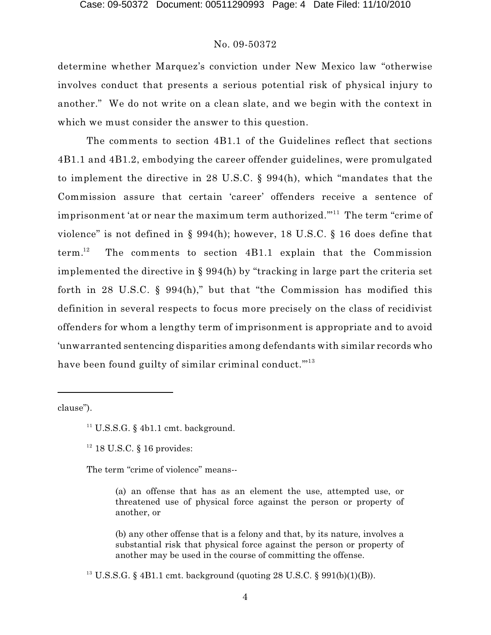determine whether Marquez's conviction under New Mexico law "otherwise involves conduct that presents a serious potential risk of physical injury to another." We do not write on a clean slate, and we begin with the context in which we must consider the answer to this question.

The comments to section 4B1.1 of the Guidelines reflect that sections 4B1.1 and 4B1.2, embodying the career offender guidelines, were promulgated to implement the directive in 28 U.S.C. § 994(h), which "mandates that the Commission assure that certain 'career' offenders receive a sentence of imprisonment 'at or near the maximum term authorized.'" $^{\rm 11}$  The term "crime of violence" is not defined in § 994(h); however, 18 U.S.C. § 16 does define that The comments to section 4B1.1 explain that the Commission  $term.<sup>12</sup>$ implemented the directive in § 994(h) by "tracking in large part the criteria set forth in 28 U.S.C. § 994(h)," but that "the Commission has modified this definition in several respects to focus more precisely on the class of recidivist offenders for whom a lengthy term of imprisonment is appropriate and to avoid 'unwarranted sentencing disparities among defendants with similar records who have been found guilty of similar criminal conduct." $^{\rm n_{13}}$ 

clause").

 $12$  18 U.S.C. § 16 provides:

The term "crime of violence" means--

(a) an offense that has as an element the use, attempted use, or threatened use of physical force against the person or property of another, or

(b) any other offense that is a felony and that, by its nature, involves a substantial risk that physical force against the person or property of another may be used in the course of committing the offense.

<sup>13</sup> U.S.S.G. § 4B1.1 cmt. background (quoting 28 U.S.C. § 991(b)(1)(B)).

 $11$  U.S.S.G. § 4b1.1 cmt. background.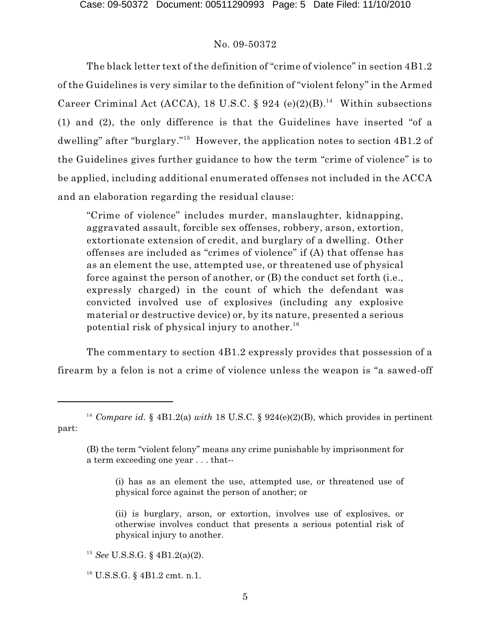The black letter text of the definition of "crime of violence" in section 4B1.2 of the Guidelines is very similar to the definition of "violent felony" in the Armed Career Criminal Act (ACCA), 18 U.S.C. § 924 (e)(2)(B).<sup>14</sup> Within subsections (1) and (2), the only difference is that the Guidelines have inserted "of a dwelling" after "burglary."<sup>15</sup> However, the application notes to section  $4B1.2$  of the Guidelines gives further guidance to how the term "crime of violence" is to be applied, including additional enumerated offenses not included in the ACCA and an elaboration regarding the residual clause:

"Crime of violence" includes murder, manslaughter, kidnapping, aggravated assault, forcible sex offenses, robbery, arson, extortion, extortionate extension of credit, and burglary of a dwelling. Other offenses are included as "crimes of violence" if (A) that offense has as an element the use, attempted use, or threatened use of physical force against the person of another, or (B) the conduct set forth (i.e., expressly charged) in the count of which the defendant was convicted involved use of explosives (including any explosive material or destructive device) or, by its nature, presented a serious potential risk of physical injury to another. $^{16}$ 

The commentary to section 4B1.2 expressly provides that possession of a firearm by a felon is not a crime of violence unless the weapon is "a sawed-off

<sup>14</sup> Compare *id*. § 4B1.2(a) *with* 18 U.S.C. § 924(e)(2)(B), which provides in pertinent part:

(B) the term "violent felony" means any crime punishable by imprisonment for a term exceeding one year . . . that--

(i) has as an element the use, attempted use, or threatened use of physical force against the person of another; or

(ii) is burglary, arson, or extortion, involves use of explosives, or otherwise involves conduct that presents a serious potential risk of physical injury to another.

<sup>15</sup> See U.S.S.G. § 4B1.2(a)(2).

 $16$  U.S.S.G. § 4B1.2 cmt. n.1.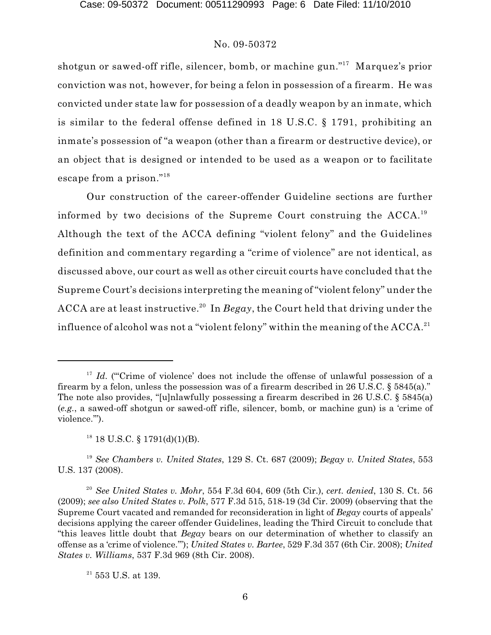shotgun or sawed-off rifle, silencer, bomb, or machine gun."<sup>17</sup> Marquez's prior conviction was not, however, for being a felon in possession of a firearm. He was convicted under state law for possession of a deadly weapon by an inmate, which is similar to the federal offense defined in 18 U.S.C. § 1791, prohibiting an inmate's possession of "a weapon (other than a firearm or destructive device), or an object that is designed or intended to be used as a weapon or to facilitate escape from a prison." 18

Our construction of the career-offender Guideline sections are further informed by two decisions of the Supreme Court construing the ACCA.<sup>19</sup> Although the text of the ACCA defining "violent felony" and the Guidelines definition and commentary regarding a "crime of violence" are not identical, as discussed above, our court as well as other circuit courts have concluded that the Supreme Court's decisions interpreting the meaning of "violent felony" under the ACCA are at least instructive. $^{\text{20}}$  In  $Begay,$  the Court held that driving under the influence of alcohol was not a "violent felony" within the meaning of the ACCA. $^{\rm 21}$ 

<sup>&</sup>lt;sup>17</sup> Id. ("Crime of violence' does not include the offense of unlawful possession of a firearm by a felon, unless the possession was of a firearm described in 26 U.S.C. § 5845(a)." The note also provides, "[u]nlawfully possessing a firearm described in 26 U.S.C. § 5845(a) (*e.g.*, a sawed-off shotgun or sawed-off rifle, silencer, bomb, or machine gun) is a 'crime of violence.'").

 $18$  U.S.C. § 1791(d)(1)(B).

<sup>&</sup>lt;sup>19</sup> See Chambers *v. United States*, 129 S. Ct. 687 (2009); *Begay v. United States*, 553 U.S. 137 (2008).

*See United States v. Mohr*, 554 F.3d 604, 609 (5th Cir.), *cert. denied*, 130 S. Ct. 56 20 (2009); *see also United States v. Polk*, 577 F.3d 515, 518-19 (3d Cir. 2009) (observing that the Supreme Court vacated and remanded for reconsideration in light of *Begay* courts of appeals' decisions applying the career offender Guidelines, leading the Third Circuit to conclude that "this leaves little doubt that *Begay* bears on our determination of whether to classify an offense as a 'crime of violence.'"); *United States v. Bartee*, 529 F.3d 357 (6th Cir. 2008); *United States v. Williams*, 537 F.3d 969 (8th Cir. 2008).

 $21$  553 U.S. at 139.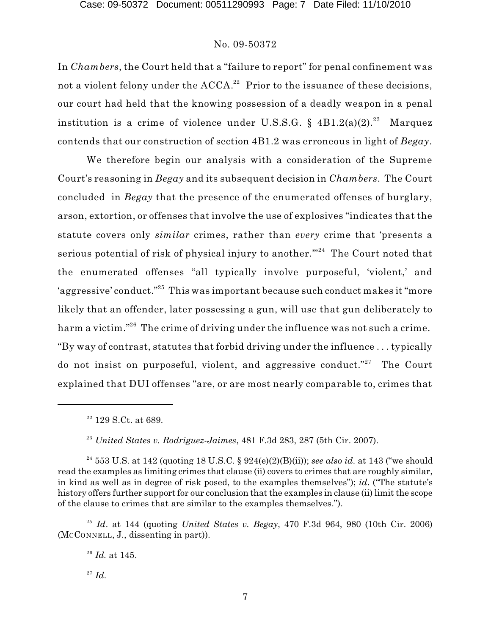In *Chambers*, the Court held that a "failure to report" for penal confinement was not a violent felony under the  $\text{ACCA}.^{22}$  Prior to the issuance of these decisions, our court had held that the knowing possession of a deadly weapon in a penal institution is a crime of violence under U.S.S.G. §  $4B1.2(a)(2).^{23}$  Marquez contends that our construction of section 4B1.2 was erroneous in light of *Begay*.

We therefore begin our analysis with a consideration of the Supreme Court's reasoning in *Begay* and its subsequent decision in *Chambers*. The Court concluded in *Begay* that the presence of the enumerated offenses of burglary, arson, extortion, or offenses that involve the use of explosives "indicates that the statute covers only *similar* crimes, rather than *every* crime that 'presents a serious potential of risk of physical injury to another." $^{24}$  The Court noted that the enumerated offenses "all typically involve purposeful, 'violent,' and 'aggressive' conduct." $^{25}$  This was important because such conduct makes it "more likely that an offender, later possessing a gun, will use that gun deliberately to harm a victim."<sup>26</sup> The crime of driving under the influence was not such a crime. "By way of contrast, statutes that forbid driving under the influence . . . typically do not insist on purposeful, violent, and aggressive conduct."<sup>27</sup> The Court explained that DUI offenses "are, or are most nearly comparable to, crimes that

*United States v. Rodriguez-Jaimes*, 481 F.3d 283, 287 (5th Cir. 2007). 23

<sup>24</sup> 553 U.S. at 142 (quoting 18 U.S.C. § 924(e)(2)(B)(ii)); *see also id.* at 143 ("we should read the examples as limiting crimes that clause (ii) covers to crimes that are roughly similar, in kind as well as in degree of risk posed, to the examples themselves"); *id*. ("The statute's history offers further support for our conclusion that the examples in clause (ii) limit the scope of the clause to crimes that are similar to the examples themselves.").

<sup>25</sup> Id. at 144 (quoting *United States v. Begay*, 470 F.3d 964, 980 (10th Cir. 2006) (MCCONNELL, J., dissenting in part)).

 $^{27}$   $Id.$ 

 $22$  129 S.Ct. at 689.

*Id.* at 145. 26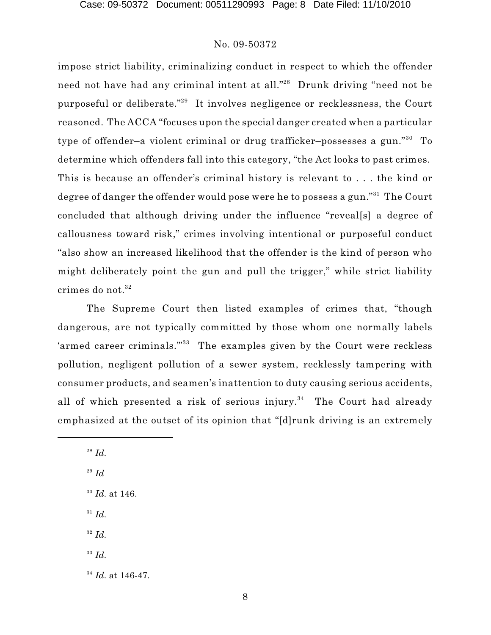impose strict liability, criminalizing conduct in respect to which the offender need not have had any criminal intent at all."<sup>28</sup> Drunk driving "need not be purposeful or deliberate."<sup>29</sup> It involves negligence or recklessness, the Court reasoned. The ACCA "focuses upon the special danger created when a particular type of offender–a violent criminal or drug trafficker–possesses a gun."<sup>30</sup> To determine which offenders fall into this category, "the Act looks to past crimes. This is because an offender's criminal history is relevant to . . . the kind or degree of danger the offender would pose were he to possess a gun." $^{\rm 31}$  The Court concluded that although driving under the influence "reveal[s] a degree of callousness toward risk," crimes involving intentional or purposeful conduct "also show an increased likelihood that the offender is the kind of person who might deliberately point the gun and pull the trigger," while strict liability crimes do not. 32

The Supreme Court then listed examples of crimes that, "though dangerous, are not typically committed by those whom one normally labels 'armed career criminals."<sup>33</sup> The examples given by the Court were reckless pollution, negligent pollution of a sewer system, recklessly tampering with consumer products, and seamen's inattention to duty causing serious accidents, all of which presented a risk of serious injury.<sup>34</sup> The Court had already emphasized at the outset of its opinion that "[d]runk driving is an extremely

*Id*. 28

 $^{29}$  *Id* 

<sup>30</sup> *Id.* at 146.

 $^{31}$   $Id.$ 

<sup>32</sup> Id.

<sup>33</sup> Id.

<sup>34</sup> *Id.* at 146-47.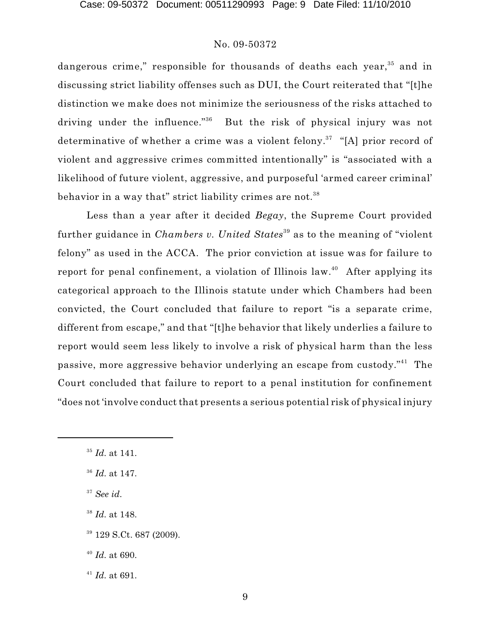dangerous crime," responsible for thousands of deaths each year, $^{35}$  and in discussing strict liability offenses such as DUI, the Court reiterated that "[t]he distinction we make does not minimize the seriousness of the risks attached to But the risk of physical injury was not driving under the influence."36 determinative of whether a crime was a violent felony.<sup>37</sup> "[A] prior record of violent and aggressive crimes committed intentionally" is "associated with a likelihood of future violent, aggressive, and purposeful 'armed career criminal' behavior in a way that" strict liability crimes are not. $^{38}$ 

Less than a year after it decided *Begay*, the Supreme Court provided further guidance in *Chambers v. United States*<sup>39</sup> as to the meaning of "violent felony" as used in the ACCA. The prior conviction at issue was for failure to report for penal confinement, a violation of Illinois law.<sup>40</sup> After applying its categorical approach to the Illinois statute under which Chambers had been convicted, the Court concluded that failure to report "is a separate crime, different from escape," and that "[t]he behavior that likely underlies a failure to report would seem less likely to involve a risk of physical harm than the less passive, more aggressive behavior underlying an escape from custody."<sup>41</sup> The Court concluded that failure to report to a penal institution for confinement "does not 'involve conduct that presents a serious potential risk of physical injury

- *See id*. 37
- <sup>38</sup> *Id.* at 148.
- $39$  129 S.Ct. 687 (2009).
- $^{40}$  *Id.* at 690.
- $^{41}$  *Id.* at 691.

 $^{35}$  *Id.* at 141.

<sup>&</sup>lt;sup>36</sup> *Id.* at 147.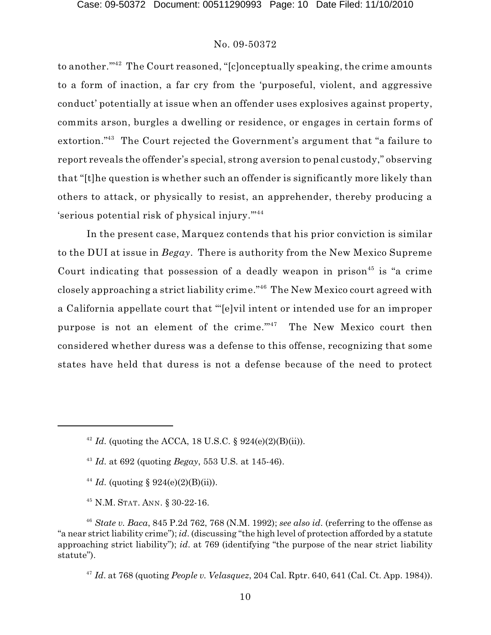to another."" $^{\hspace{0.1em}n\hspace{0.1em}42}$  The Court reasoned, "[c]onceptually speaking, the crime amounts to a form of inaction, a far cry from the 'purposeful, violent, and aggressive conduct' potentially at issue when an offender uses explosives against property, commits arson, burgles a dwelling or residence, or engages in certain forms of extortion."<sup>43</sup> The Court rejected the Government's argument that "a failure to report reveals the offender's special, strong aversion to penal custody," observing that "[t]he question is whether such an offender is significantly more likely than others to attack, or physically to resist, an apprehender, thereby producing a 'serious potential risk of physical injury.'" 44

In the present case, Marquez contends that his prior conviction is similar to the DUI at issue in *Begay*. There is authority from the New Mexico Supreme Court indicating that possession of a deadly weapon in prison<sup>45</sup> is "a crime closely approaching a strict liability crime." $^{46}$  The New Mexico court agreed with a California appellate court that "'[e]vil intent or intended use for an improper purpose is not an element of the crime."<sup>47</sup> The New Mexico court then considered whether duress was a defense to this offense, recognizing that some states have held that duress is not a defense because of the need to protect

<sup>&</sup>lt;sup>42</sup> *Id.* (quoting the ACCA, 18 U.S.C. § 924(e)(2)(B)(ii)).

<sup>&</sup>lt;sup>43</sup> Id. at 692 (quoting *Begay*, 553 U.S. at 145-46).

<sup>&</sup>lt;sup>44</sup> *Id.* (quoting § 924(e)(2)(B)(ii)).

<sup>&</sup>lt;sup>45</sup> N.M. Stat. Ann. § 30-22-16.

<sup>&</sup>lt;sup>46</sup> *State v. Baca*, 845 P.2d 762, 768 (N.M. 1992); *see also id.* (referring to the offense as "a near strict liability crime"); *id*. (discussing "the high level of protection afforded by a statute approaching strict liability"); *id*. at 769 (identifying "the purpose of the near strict liability statute").

*Id*. at 768 (quoting *People v. Velasquez*, 204 Cal. Rptr. 640, 641 (Cal. Ct. App. 1984)). <sup>47</sup>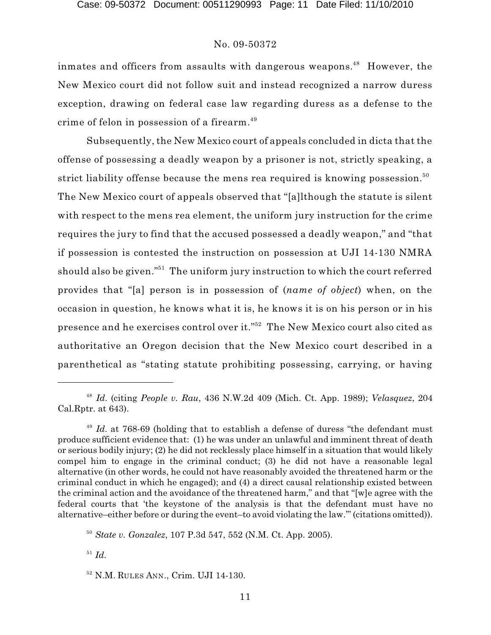inmates and officers from assaults with dangerous weapons. $^{48}$  However, the New Mexico court did not follow suit and instead recognized a narrow duress exception, drawing on federal case law regarding duress as a defense to the crime of felon in possession of a firearm. 49

Subsequently, the New Mexico court of appeals concluded in dicta that the offense of possessing a deadly weapon by a prisoner is not, strictly speaking, a strict liability offense because the mens rea required is knowing possession.<sup>50</sup> The New Mexico court of appeals observed that "[a]lthough the statute is silent with respect to the mens rea element, the uniform jury instruction for the crime requires the jury to find that the accused possessed a deadly weapon," and "that if possession is contested the instruction on possession at UJI 14-130 NMRA should also be given." $^{\scriptscriptstyle 51}$  The uniform jury instruction to which the court referred provides that "[a] person is in possession of (*name of object*) when, on the occasion in question, he knows what it is, he knows it is on his person or in his presence and he exercises control over it." $^{52}$  The New Mexico court also cited as authoritative an Oregon decision that the New Mexico court described in a parenthetical as "stating statute prohibiting possessing, carrying, or having

<sup>&</sup>lt;sup>48</sup> Id. (citing *People v. Rau*, 436 N.W.2d 409 (Mich. Ct. App. 1989); *Velasquez*, 204 Cal.Rptr. at 643).

<sup>&</sup>lt;sup>49</sup> Id. at 768-69 (holding that to establish a defense of duress "the defendant must produce sufficient evidence that: (1) he was under an unlawful and imminent threat of death or serious bodily injury; (2) he did not recklessly place himself in a situation that would likely compel him to engage in the criminal conduct; (3) he did not have a reasonable legal alternative (in other words, he could not have reasonably avoided the threatened harm or the criminal conduct in which he engaged); and (4) a direct causal relationship existed between the criminal action and the avoidance of the threatened harm," and that "[w]e agree with the federal courts that 'the keystone of the analysis is that the defendant must have no alternative–either before or during the event–to avoid violating the law.'" (citations omitted)).

<sup>&</sup>lt;sup>50</sup> State v. Gonzalez, 107 P.3d 547, 552 (N.M. Ct. App. 2005).

 $^{51}$   $Id.$ 

 $52$  N.M. RULES ANN., Crim. UJI 14-130.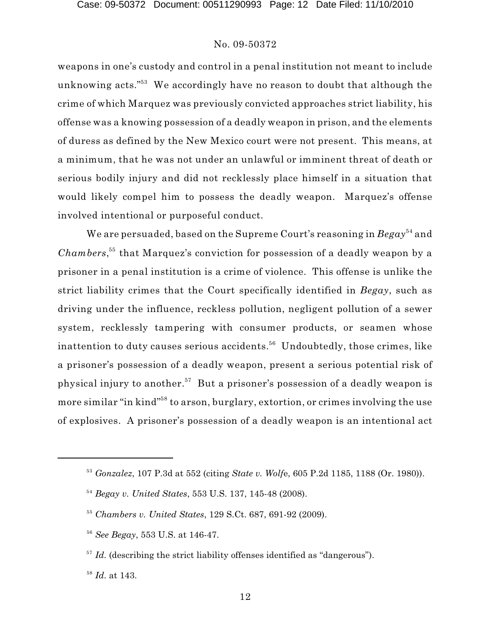weapons in one's custody and control in a penal institution not meant to include unknowing acts." $^{53}$  We accordingly have no reason to doubt that although the crime of which Marquez was previously convicted approaches strict liability, his offense was a knowing possession of a deadly weapon in prison, and the elements of duress as defined by the New Mexico court were not present. This means, at a minimum, that he was not under an unlawful or imminent threat of death or serious bodily injury and did not recklessly place himself in a situation that would likely compel him to possess the deadly weapon. Marquez's offense involved intentional or purposeful conduct.

We are persuaded, based on the Supreme Court's reasoning in  $Begay^{54}$  and Chambers,<sup>55</sup> that Marquez's conviction for possession of a deadly weapon by a prisoner in a penal institution is a crime of violence. This offense is unlike the strict liability crimes that the Court specifically identified in *Begay*, such as driving under the influence, reckless pollution, negligent pollution of a sewer system, recklessly tampering with consumer products, or seamen whose inattention to duty causes serious accidents. $56\,$  Undoubtedly, those crimes, like a prisoner's possession of a deadly weapon, present a serious potential risk of physical injury to another. $^{57}$  But a prisoner's possession of a deadly weapon is more similar "in kind"<sup>58</sup> to arson, burglary, extortion, or crimes involving the use of explosives. A prisoner's possession of a deadly weapon is an intentional act

*Gonzalez*, 107 P.3d at 552 (citing *State v. Wolf*e, 605 P.2d 1185, 1188 (Or. 1980)). 53

*Begay v. United States*, 553 U.S. 137, 145-48 (2008). 54

*Chambers v. United States*, 129 S.Ct. 687, 691-92 (2009). 55

<sup>&</sup>lt;sup>56</sup> See Begay, 553 U.S. at 146-47.

 $^{57}$  *Id.* (describing the strict liability offenses identified as "dangerous").

 $^{58}$  *Id.* at 143.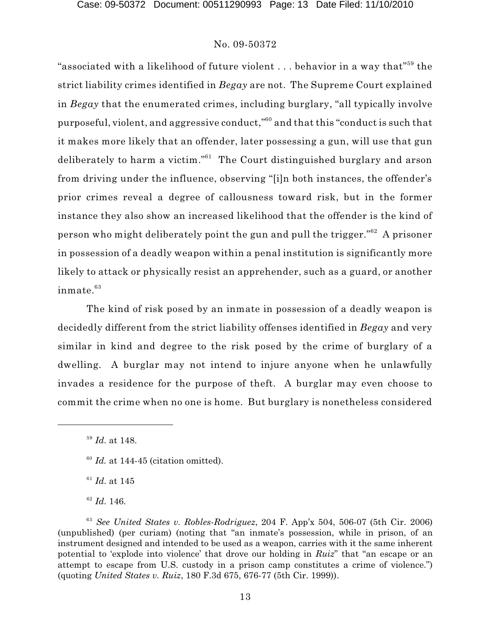"associated with a likelihood of future violent . . . behavior in a way that"  $59$  the strict liability crimes identified in *Begay* are not. The Supreme Court explained in *Begay* that the enumerated crimes, including burglary, "all typically involve purposeful, violent, and aggressive conduct," $\rm ^{60}$  and that this "conduct is such that it makes more likely that an offender, later possessing a gun, will use that gun deliberately to harm a victim."<sup>61</sup> The Court distinguished burglary and arson from driving under the influence, observing "[i]n both instances, the offender's prior crimes reveal a degree of callousness toward risk, but in the former instance they also show an increased likelihood that the offender is the kind of person who might deliberately point the gun and pull the trigger."<sup>62</sup> A prisoner in possession of a deadly weapon within a penal institution is significantly more likely to attack or physically resist an apprehender, such as a guard, or another inmate. 63

The kind of risk posed by an inmate in possession of a deadly weapon is decidedly different from the strict liability offenses identified in *Begay* and very similar in kind and degree to the risk posed by the crime of burglary of a dwelling. A burglar may not intend to injure anyone when he unlawfully invades a residence for the purpose of theft. A burglar may even choose to commit the crime when no one is home. But burglary is nonetheless considered

 $^{59}$  *Id.* at 148.

<sup>&</sup>lt;sup>60</sup> Id. at 144-45 (citation omitted).

 $^{61}$  *Id.* at 145

 $^{62}$  *Id*. 146.

 $53$  See United States v. Robles-Rodriguez, 204 F. App'x 504, 506-07 (5th Cir. 2006) (unpublished) (per curiam) (noting that "an inmate's possession, while in prison, of an instrument designed and intended to be used as a weapon, carries with it the same inherent potential to 'explode into violence' that drove our holding in *Ruiz*" that "an escape or an attempt to escape from U.S. custody in a prison camp constitutes a crime of violence.") (quoting *United States v. Ruiz*, 180 F.3d 675, 676-77 (5th Cir. 1999)).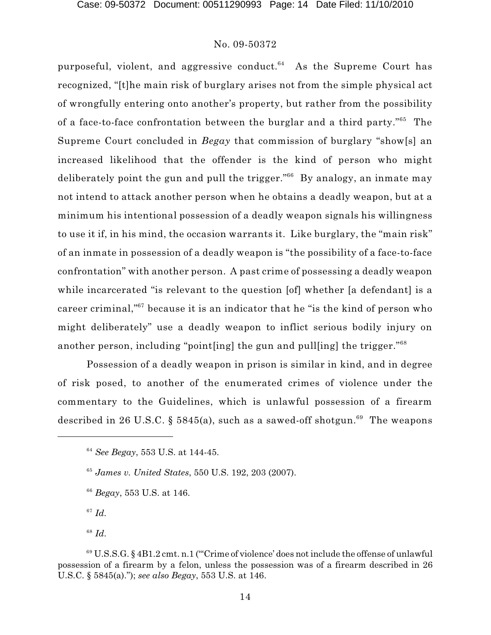purposeful, violent, and aggressive conduct.<sup>64</sup> As the Supreme Court has recognized, "[t]he main risk of burglary arises not from the simple physical act of wrongfully entering onto another's property, but rather from the possibility of a face-to-face confrontation between the burglar and a third party." $^{65}$  The Supreme Court concluded in *Begay* that commission of burglary "show[s] an increased likelihood that the offender is the kind of person who might deliberately point the gun and pull the trigger."<sup>66</sup> By analogy, an inmate may not intend to attack another person when he obtains a deadly weapon, but at a minimum his intentional possession of a deadly weapon signals his willingness to use it if, in his mind, the occasion warrants it. Like burglary, the "main risk" of an inmate in possession of a deadly weapon is "the possibility of a face-to-face confrontation" with another person. A past crime of possessing a deadly weapon while incarcerated "is relevant to the question [of] whether [a defendant] is a career criminal," $\ ^{67}$  because it is an indicator that he "is the kind of person who might deliberately" use a deadly weapon to inflict serious bodily injury on another person, including "point[ing] the gun and pull[ing] the trigger." 68

Possession of a deadly weapon in prison is similar in kind, and in degree of risk posed, to another of the enumerated crimes of violence under the commentary to the Guidelines, which is unlawful possession of a firearm described in 26 U.S.C. § 5845(a), such as a sawed-off shotgun. $^{69}$  The weapons

 $^{67}$   $Id.$ 

*See Begay*, 553 U.S. at 144-45. <sup>64</sup>

<sup>&</sup>lt;sup>65</sup> James v. United States, 550 U.S. 192, 203 (2007).

*Begay*, 553 U.S. at 146. 66

*Id*. 68

 $69$  U.S.S.G. § 4B1.2 cmt. n.1 ("Crime of violence' does not include the offense of unlawful possession of a firearm by a felon, unless the possession was of a firearm described in 26 U.S.C. § 5845(a)."); *see also Begay*, 553 U.S. at 146.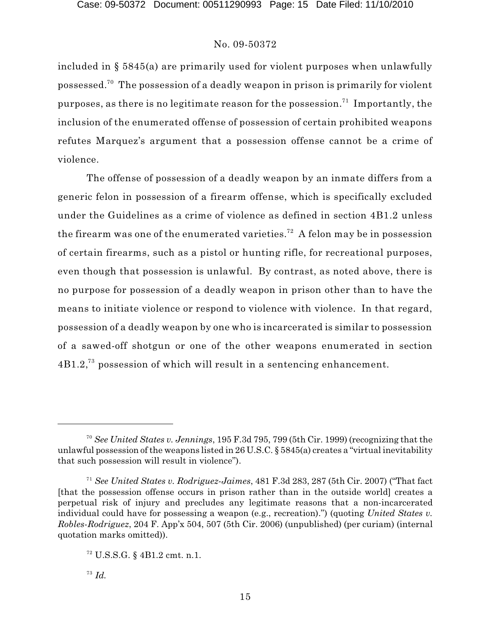included in § 5845(a) are primarily used for violent purposes when unlawfully possessed. $^{\rm 70}$  The possession of a deadly weapon in prison is primarily for violent purposes, as there is no legitimate reason for the possession. $^{71}$  Importantly, the inclusion of the enumerated offense of possession of certain prohibited weapons refutes Marquez's argument that a possession offense cannot be a crime of violence.

The offense of possession of a deadly weapon by an inmate differs from a generic felon in possession of a firearm offense, which is specifically excluded under the Guidelines as a crime of violence as defined in section 4B1.2 unless the firearm was one of the enumerated varieties.<sup>72</sup> A felon may be in possession of certain firearms, such as a pistol or hunting rifle, for recreational purposes, even though that possession is unlawful. By contrast, as noted above, there is no purpose for possession of a deadly weapon in prison other than to have the means to initiate violence or respond to violence with violence. In that regard, possession of a deadly weapon by one who is incarcerated is similar to possession of a sawed-off shotgun or one of the other weapons enumerated in section  $4B1.2<sup>73</sup>$  possession of which will result in a sentencing enhancement.

<sup>&</sup>lt;sup>70</sup> See United States v. *Jennings*, 195 F.3d 795, 799 (5th Cir. 1999) (recognizing that the unlawful possession of the weapons listed in 26 U.S.C. § 5845(a) creates a "virtual inevitability that such possession will result in violence").

*See United States v. Rodriguez-Jaimes*, 481 F.3d 283, 287 (5th Cir. 2007) ("That fact 71 [that the possession offense occurs in prison rather than in the outside world] creates a perpetual risk of injury and precludes any legitimate reasons that a non-incarcerated individual could have for possessing a weapon (e.g., recreation).") (quoting *United States v. Robles-Rodriguez*, 204 F. App'x 504, 507 (5th Cir. 2006) (unpublished) (per curiam) (internal quotation marks omitted)).

 $72 \text{ U.S.S.G. }$  § 4B1.2 cmt. n.1.

 $^{73}$  *Id.*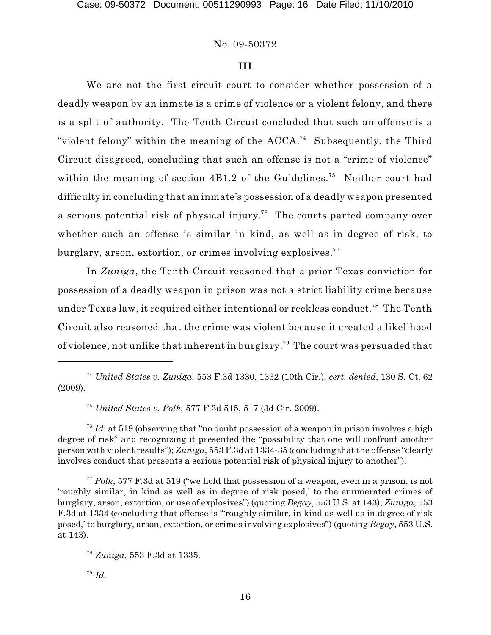Case: 09-50372 Document: 00511290993 Page: 16 Date Filed: 11/10/2010

#### No. 09-50372

# **III**

We are not the first circuit court to consider whether possession of a deadly weapon by an inmate is a crime of violence or a violent felony, and there is a split of authority. The Tenth Circuit concluded that such an offense is a "violent felony" within the meaning of the  $\text{ACCA}.^{74}$  Subsequently, the Third Circuit disagreed, concluding that such an offense is not a "crime of violence" within the meaning of section  $4B1.2$  of the Guidelines.<sup>75</sup> Neither court had difficulty in concluding that an inmate's possession of a deadly weapon presented a serious potential risk of physical injury.<sup>76</sup> The courts parted company over whether such an offense is similar in kind, as well as in degree of risk, to burglary, arson, extortion, or crimes involving explosives.<sup>77</sup>

In *Zuniga*, the Tenth Circuit reasoned that a prior Texas conviction for possession of a deadly weapon in prison was not a strict liability crime because under Texas law, it required either intentional or reckless conduct. $^{78}\,$  The Tenth Circuit also reasoned that the crime was violent because it created a likelihood of violence, not unlike that inherent in burglary. $^{79}$  The court was persuaded that

*United States v. Zuniga*, 553 F.3d 1330, 1332 (10th Cir.), *cert. denied*, 130 S. Ct. 62 <sup>74</sup> (2009).

*United States v. Polk*, 577 F.3d 515, 517 (3d Cir. 2009). 75

 $I<sup>76</sup>$  *Id*. at 519 (observing that "no doubt possession of a weapon in prison involves a high degree of risk" and recognizing it presented the "possibility that one will confront another person with violent results"); *Zuniga*, 553 F.3d at 1334-35 (concluding that the offense "clearly involves conduct that presents a serious potential risk of physical injury to another").

<sup>&</sup>lt;sup>77</sup> Polk, 577 F.3d at 519 ("we hold that possession of a weapon, even in a prison, is not 'roughly similar, in kind as well as in degree of risk posed,' to the enumerated crimes of burglary, arson, extortion, or use of explosives") (quoting *Begay*, 553 U.S. at 143); *Zuniga*, 553 F.3d at 1334 (concluding that offense is "'roughly similar, in kind as well as in degree of risk posed,' to burglary, arson, extortion, or crimes involving explosives") (quoting *Begay*, 553 U.S. at 143).

 $78$  Zuniga, 553 F.3d at 1335.

*Id*. 79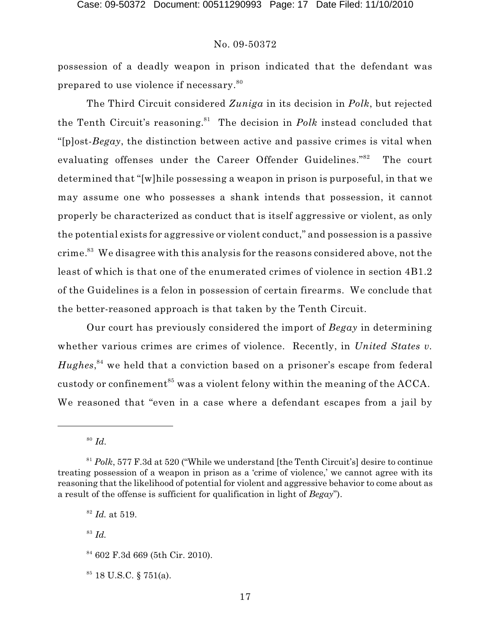possession of a deadly weapon in prison indicated that the defendant was prepared to use violence if necessary. $^{\rm 80}$ 

The Third Circuit considered *Zuniga* in its decision in *Polk*, but rejected the Tenth Circuit's reasoning.<sup>81</sup> The decision in *Polk* instead concluded that "[p]ost-*Begay*, the distinction between active and passive crimes is vital when evaluating offenses under the Career Offender Guidelines."<sup>82</sup> The court determined that "[w]hile possessing a weapon in prison is purposeful, in that we may assume one who possesses a shank intends that possession, it cannot properly be characterized as conduct that is itself aggressive or violent, as only the potential exists for aggressive or violent conduct," and possession is a passive crime. $^{\text{83}}$  We disagree with this analysis for the reasons considered above, not the least of which is that one of the enumerated crimes of violence in section 4B1.2 of the Guidelines is a felon in possession of certain firearms. We conclude that the better-reasoned approach is that taken by the Tenth Circuit.

Our court has previously considered the import of *Begay* in determining whether various crimes are crimes of violence. Recently, in *United States v.* Hughes,<sup>84</sup> we held that a conviction based on a prisoner's escape from federal custody or confinement $^{\rm 85}$  was a violent felony within the meaning of the ACCA. We reasoned that "even in a case where a defendant escapes from a jail by

 $85$  18 U.S.C. § 751(a).

*Id*. 80

 $81$   $Polk$ , 577 F.3d at 520 ("While we understand [the Tenth Circuit's] desire to continue treating possession of a weapon in prison as a 'crime of violence,' we cannot agree with its reasoning that the likelihood of potential for violent and aggressive behavior to come about as a result of the offense is sufficient for qualification in light of *Begay*").

<sup>&</sup>lt;sup>82</sup> Id. at 519.

 $^{83}$   $Id.$ 

 $84$  602 F.3d 669 (5th Cir. 2010).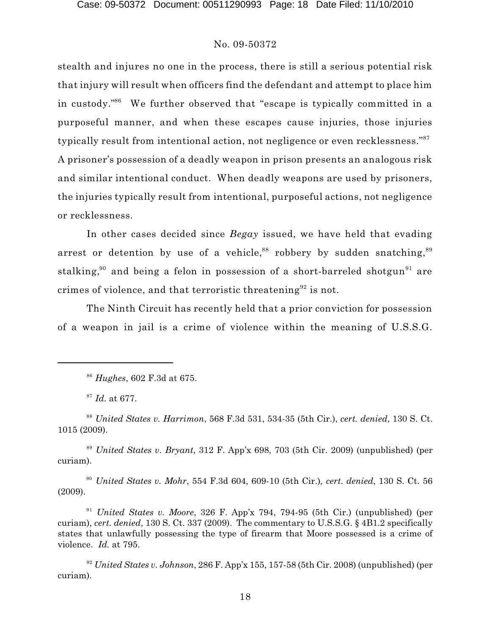stealth and injures no one in the process, there is still a serious potential risk that injury will result when officers find the defendant and attempt to place him in custody."<sup>86</sup> We further observed that "escape is typically committed in a purposeful manner, and when these escapes cause injuries, those injuries typically result from intentional action, not negligence or even recklessness." 87 A prisoner's possession of a deadly weapon in prison presents an analogous risk and similar intentional conduct. When deadly weapons are used by prisoners, the injuries typically result from intentional, purposeful actions, not negligence or recklessness.

In other cases decided since *Begay* issued, we have held that evading arrest or detention by use of a vehicle,<sup>88</sup> robbery by sudden snatching,<sup>89</sup> stalking, $^{90}$  and being a felon in possession of a short-barreled shotgun $^{91}$  are crimes of violence, and that terroristic threatening  $92$  is not.

The Ninth Circuit has recently held that a prior conviction for possession of a weapon in jail is a crime of violence within the meaning of U.S.S.G.

<sup>89</sup> United States v. Bryant, 312 F. App'x 698, 703 (5th Cir. 2009) (unpublished) (per curiam).

<sup>90</sup> United States v. Mohr, 554 F.3d 604, 609-10 (5th Cir.), cert. denied, 130 S. Ct. 56 (2009).

<sup>91</sup> United States v. Moore, 326 F. App'x 794, 794-95 (5th Cir.) (unpublished) (per curiam), *cert. denied*, 130 S. Ct. 337 (2009). The commentary to U.S.S.G. § 4B1.2 specifically states that unlawfully possessing the type of firearm that Moore possessed is a crime of violence. *Id.* at 795.

 $92$  *United States v. Johnson*, 286 F. App'x 155, 157-58 (5th Cir. 2008) (unpublished) (per curiam).

*Hughes*, 602 F.3d at 675. 86

 $^{87}$  *Id.* at 677.

*United States v. Harrimon*, 568 F.3d 531, 534-35 (5th Cir.), *cert. denied*, 130 S. Ct. <sup>88</sup> 1015 (2009).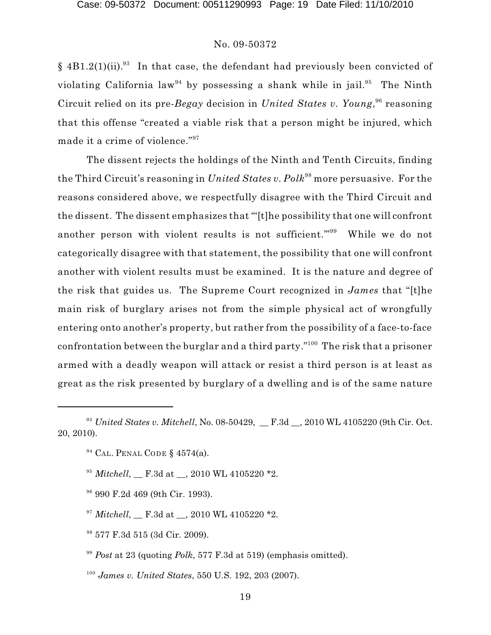§ 4B1.2(1)(ii).<sup>93</sup> In that case, the defendant had previously been convicted of violating California law<sup>94</sup> by possessing a shank while in jail.<sup>95</sup> The Ninth Circuit relied on its pre-*Begay* decision in *United States v. Young*,<sup>96</sup> reasoning that this offense "created a viable risk that a person might be injured, which made it a crime of violence." 97

The dissent rejects the holdings of the Ninth and Tenth Circuits, finding the Third Circuit's reasoning in *United States v. Polk*<sup>98</sup> more persuasive. For the reasons considered above, we respectfully disagree with the Third Circuit and the dissent. The dissent emphasizes that "'[t]he possibility that one will confront another person with violent results is not sufficient."<sup>99</sup> While we do not categorically disagree with that statement, the possibility that one will confront another with violent results must be examined. It is the nature and degree of the risk that guides us. The Supreme Court recognized in *James* that "[t]he main risk of burglary arises not from the simple physical act of wrongfully entering onto another's property, but rather from the possibility of a face-to-face confrontation between the burglar and a third party." $^{\rm 100}$  The risk that a prisoner armed with a deadly weapon will attack or resist a third person is at least as great as the risk presented by burglary of a dwelling and is of the same nature

- <sup>95</sup> *Mitchell*, **F.3d at**  $\,$ , 2010 WL 4105220  $*$ 2.
- <sup>96</sup> 990 F.2d 469 (9th Cir. 1993).
- <sup>97</sup> Mitchell, F.3d at  $, 2010$  WL 4105220  $*2$ .
- 577 F.3d 515 (3d Cir. 2009). 98
- *Post* at 23 (quoting *Polk*, 577 F.3d at 519) (emphasis omitted). 99
- <sup>100</sup> James v. United States, 550 U.S. 192, 203 (2007).

<sup>&</sup>lt;sup>93</sup> United States v. Mitchell, No. 08-50429, \_\_F.3d \_\_, 2010 WL 4105220 (9th Cir. Oct. 20, 2010).

 $94$  CAL. PENAL CODE § 4574(a).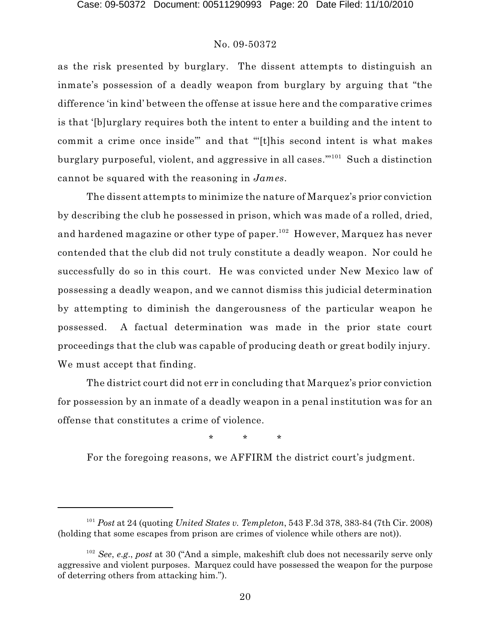as the risk presented by burglary. The dissent attempts to distinguish an inmate's possession of a deadly weapon from burglary by arguing that "the difference 'in kind' between the offense at issue here and the comparative crimes is that '[b]urglary requires both the intent to enter a building and the intent to commit a crime once inside'" and that "'[t]his second intent is what makes burglary purposeful, violent, and aggressive in all cases.""<sup>101</sup> Such a distinction cannot be squared with the reasoning in *James*.

The dissent attempts to minimize the nature of Marquez's prior conviction by describing the club he possessed in prison, which was made of a rolled, dried, and hardened magazine or other type of paper. $^{\rm 102}$  However, Marquez has never contended that the club did not truly constitute a deadly weapon. Nor could he successfully do so in this court. He was convicted under New Mexico law of possessing a deadly weapon, and we cannot dismiss this judicial determination by attempting to diminish the dangerousness of the particular weapon he possessed. A factual determination was made in the prior state court proceedings that the club was capable of producing death or great bodily injury. We must accept that finding.

The district court did not err in concluding that Marquez's prior conviction for possession by an inmate of a deadly weapon in a penal institution was for an offense that constitutes a crime of violence.

\* \* \*

For the foregoing reasons, we AFFIRM the district court's judgment.

<sup>&</sup>lt;sup>101</sup> Post at 24 (quoting *United States v. Templeton*, 543 F.3d 378, 383-84 (7th Cir. 2008) (holding that some escapes from prison are crimes of violence while others are not)).

 $102$  *See*, *e.g.*, *post* at 30 ("And a simple, makeshift club does not necessarily serve only aggressive and violent purposes. Marquez could have possessed the weapon for the purpose of deterring others from attacking him.").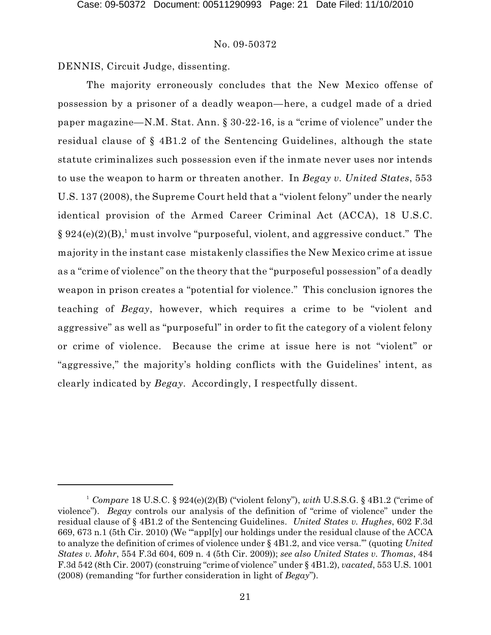DENNIS, Circuit Judge, dissenting.

The majority erroneously concludes that the New Mexico offense of possession by a prisoner of a deadly weapon—here, a cudgel made of a dried paper magazine—N.M. Stat. Ann. § 30-22-16, is a "crime of violence" under the residual clause of § 4B1.2 of the Sentencing Guidelines, although the state statute criminalizes such possession even if the inmate never uses nor intends to use the weapon to harm or threaten another. In *Begay v. United States*, 553 U.S. 137 (2008), the Supreme Court held that a "violent felony" under the nearly identical provision of the Armed Career Criminal Act (ACCA), 18 U.S.C. § 924(e)(2)(B),<sup>1</sup> must involve "purposeful, violent, and aggressive conduct." The majority in the instant case mistakenly classifies the New Mexico crime at issue as a "crime of violence" on the theory that the "purposeful possession" of a deadly weapon in prison creates a "potential for violence." This conclusion ignores the teaching of *Begay*, however, which requires a crime to be "violent and aggressive" as well as "purposeful" in order to fit the category of a violent felony or crime of violence. Because the crime at issue here is not "violent" or "aggressive," the majority's holding conflicts with the Guidelines' intent, as clearly indicated by *Begay*. Accordingly, I respectfully dissent.

<sup>&</sup>lt;sup>1</sup> Compare 18 U.S.C. § 924(e)(2)(B) ("violent felony"), *with* U.S.S.G. § 4B1.2 ("crime of violence"). *Begay* controls our analysis of the definition of "crime of violence" under the residual clause of § 4B1.2 of the Sentencing Guidelines. *United States v. Hughes*, 602 F.3d 669, 673 n.1 (5th Cir. 2010) (We "'appl[y] our holdings under the residual clause of the ACCA to analyze the definition of crimes of violence under § 4B1.2, and vice versa.'" (quoting *United States v. Mohr*, 554 F.3d 604, 609 n. 4 (5th Cir. 2009)); *see also United States v. Thomas*, 484 F.3d 542 (8th Cir. 2007) (construing "crime of violence" under § 4B1.2), *vacated*, 553 U.S. 1001 (2008) (remanding "for further consideration in light of *Begay*").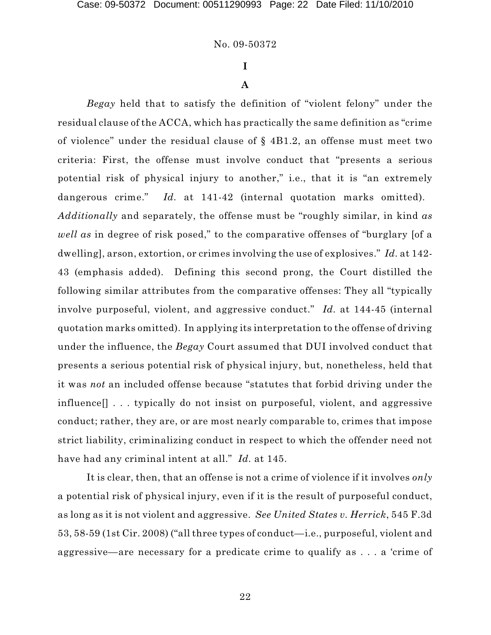# **I**

# **A**

*Begay* held that to satisfy the definition of "violent felony" under the residual clause of the ACCA, which has practically the same definition as "crime of violence" under the residual clause of § 4B1.2, an offense must meet two criteria: First, the offense must involve conduct that "presents a serious potential risk of physical injury to another," i.e., that it is "an extremely dangerous crime." *Id.* at 141-42 (internal quotation marks omitted). *Additionally* and separately, the offense must be "roughly similar, in kind *as well as* in degree of risk posed," to the comparative offenses of "burglary [of a dwelling], arson, extortion, or crimes involving the use of explosives." *Id.* at 142- 43 (emphasis added). Defining this second prong, the Court distilled the following similar attributes from the comparative offenses: They all "typically involve purposeful, violent, and aggressive conduct." *Id.* at 144-45 (internal quotation marks omitted). In applying its interpretation to the offense of driving under the influence, the *Begay* Court assumed that DUI involved conduct that presents a serious potential risk of physical injury, but, nonetheless, held that it was *not* an included offense because "statutes that forbid driving under the influence[] . . . typically do not insist on purposeful, violent, and aggressive conduct; rather, they are, or are most nearly comparable to, crimes that impose strict liability, criminalizing conduct in respect to which the offender need not have had any criminal intent at all." *Id.* at 145.

It is clear, then, that an offense is not a crime of violence if it involves *only* a potential risk of physical injury, even if it is the result of purposeful conduct, as long as it is not violent and aggressive. *See United States v. Herrick*, 545 F.3d 53, 58-59 (1st Cir. 2008) ("all three types of conduct—i.e., purposeful, violent and aggressive—are necessary for a predicate crime to qualify as . . . a 'crime of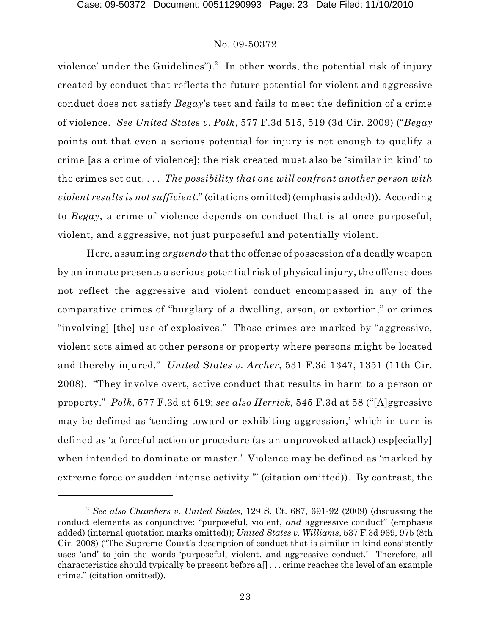violence' under the Guidelines"). $^{2}$  In other words, the potential risk of injury created by conduct that reflects the future potential for violent and aggressive conduct does not satisfy *Begay*'s test and fails to meet the definition of a crime of violence. *See United States v. Polk*, 577 F.3d 515, 519 (3d Cir. 2009) ("*Begay* points out that even a serious potential for injury is not enough to qualify a crime [as a crime of violence]; the risk created must also be 'similar in kind' to the crimes set out. . . . *The possibility that one will confront another person with violent results is not sufficient*." (citations omitted) (emphasis added)). According to *Begay*, a crime of violence depends on conduct that is at once purposeful, violent, and aggressive, not just purposeful and potentially violent.

Here, assuming *arguendo* that the offense of possession of a deadly weapon by an inmate presents a serious potential risk of physical injury, the offense does not reflect the aggressive and violent conduct encompassed in any of the comparative crimes of "burglary of a dwelling, arson, or extortion," or crimes "involving] [the] use of explosives." Those crimes are marked by "aggressive, violent acts aimed at other persons or property where persons might be located and thereby injured." *United States v. Archer*, 531 F.3d 1347, 1351 (11th Cir. 2008). "They involve overt, active conduct that results in harm to a person or property." *Polk*, 577 F.3d at 519; *see also Herrick*, 545 F.3d at 58 ("[A]ggressive may be defined as 'tending toward or exhibiting aggression,' which in turn is defined as 'a forceful action or procedure (as an unprovoked attack) esp[ecially] when intended to dominate or master.' Violence may be defined as 'marked by extreme force or sudden intense activity.'" (citation omitted)). By contrast, the

<sup>&</sup>lt;sup>2</sup> See also Chambers v. *United States*, 129 S. Ct. 687, 691-92 (2009) (discussing the conduct elements as conjunctive: "purposeful, violent, *and* aggressive conduct" (emphasis added) (internal quotation marks omitted)); *United States v. Williams*, 537 F.3d 969, 975 (8th Cir. 2008) ("The Supreme Court's description of conduct that is similar in kind consistently uses 'and' to join the words 'purposeful, violent, and aggressive conduct.' Therefore, all characteristics should typically be present before a $[] \dots$  crime reaches the level of an example crime." (citation omitted)).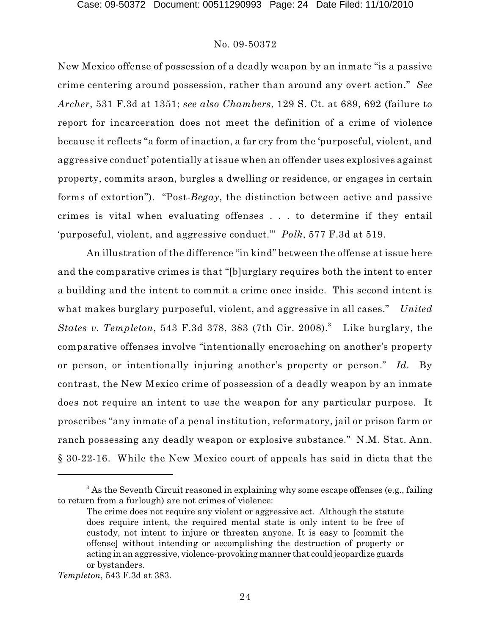New Mexico offense of possession of a deadly weapon by an inmate "is a passive crime centering around possession, rather than around any overt action." *See Archer*, 531 F.3d at 1351; *see also Chambers*, 129 S. Ct. at 689, 692 (failure to report for incarceration does not meet the definition of a crime of violence because it reflects "a form of inaction, a far cry from the 'purposeful, violent, and aggressive conduct' potentially at issue when an offender uses explosives against property, commits arson, burgles a dwelling or residence, or engages in certain forms of extortion"). "Post-*Begay*, the distinction between active and passive crimes is vital when evaluating offenses . . . to determine if they entail 'purposeful, violent, and aggressive conduct.'" *Polk*, 577 F.3d at 519.

An illustration of the difference "in kind" between the offense at issue here and the comparative crimes is that "[b]urglary requires both the intent to enter a building and the intent to commit a crime once inside. This second intent is what makes burglary purposeful, violent, and aggressive in all cases." *United* States *v. Templeton*, 543 F.3d 378, 383 (7th Cir. 2008).<sup>3</sup> Like burglary, the comparative offenses involve "intentionally encroaching on another's property or person, or intentionally injuring another's property or person." *Id.* By contrast, the New Mexico crime of possession of a deadly weapon by an inmate does not require an intent to use the weapon for any particular purpose. It proscribes "any inmate of a penal institution, reformatory, jail or prison farm or ranch possessing any deadly weapon or explosive substance." N.M. Stat. Ann. § 30-22-16. While the New Mexico court of appeals has said in dicta that the

<sup>&</sup>lt;sup>3</sup> As the Seventh Circuit reasoned in explaining why some escape offenses (e.g., failing to return from a furlough) are not crimes of violence:

The crime does not require any violent or aggressive act. Although the statute does require intent, the required mental state is only intent to be free of custody, not intent to injure or threaten anyone. It is easy to [commit the offense] without intending or accomplishing the destruction of property or acting in an aggressive, violence-provoking manner that could jeopardize guards or bystanders.

*Templeton*, 543 F.3d at 383.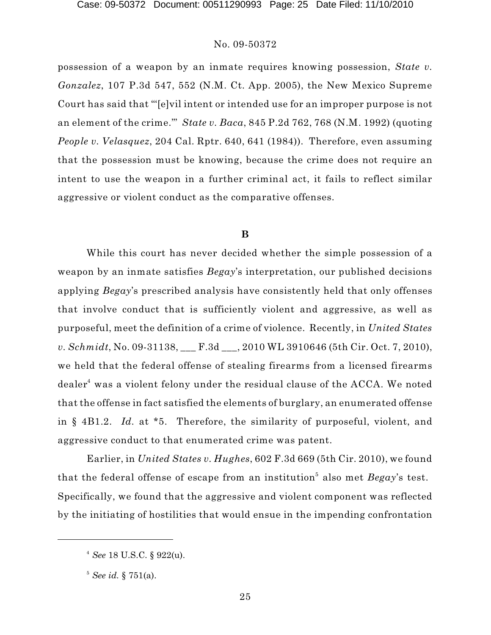Case: 09-50372 Document: 00511290993 Page: 25 Date Filed: 11/10/2010

### No. 09-50372

possession of a weapon by an inmate requires knowing possession, *State v. Gonzalez*, 107 P.3d 547, 552 (N.M. Ct. App. 2005), the New Mexico Supreme Court has said that "'[e]vil intent or intended use for an improper purpose is not an element of the crime.'" *State v. Baca*, 845 P.2d 762, 768 (N.M. 1992) (quoting *People v. Velasquez*, 204 Cal. Rptr. 640, 641 (1984)). Therefore, even assuming that the possession must be knowing, because the crime does not require an intent to use the weapon in a further criminal act, it fails to reflect similar aggressive or violent conduct as the comparative offenses.

# **B**

While this court has never decided whether the simple possession of a weapon by an inmate satisfies *Begay*'s interpretation, our published decisions applying *Begay*'s prescribed analysis have consistently held that only offenses that involve conduct that is sufficiently violent and aggressive, as well as purposeful, meet the definition of a crime of violence. Recently, in *United States v. Schmidt*, No. 09-31138, \_\_\_ F.3d \_\_\_, 2010 WL 3910646 (5th Cir. Oct. 7, 2010), we held that the federal offense of stealing firearms from a licensed firearms dealer $^4$  was a violent felony under the residual clause of the ACCA. We noted that the offense in fact satisfied the elements of burglary, an enumerated offense in § 4B1.2. *Id.* at \*5. Therefore, the similarity of purposeful, violent, and aggressive conduct to that enumerated crime was patent.

Earlier, in *United States v. Hughes*, 602 F.3d 669 (5th Cir. 2010), we found that the federal offense of escape from an institution<sup>5</sup> also met *Begay*'s test. Specifically, we found that the aggressive and violent component was reflected by the initiating of hostilities that would ensue in the impending confrontation

<sup>&</sup>lt;sup>4</sup> See 18 U.S.C. § 922(u).

 $5$  *See id.* § 751(a).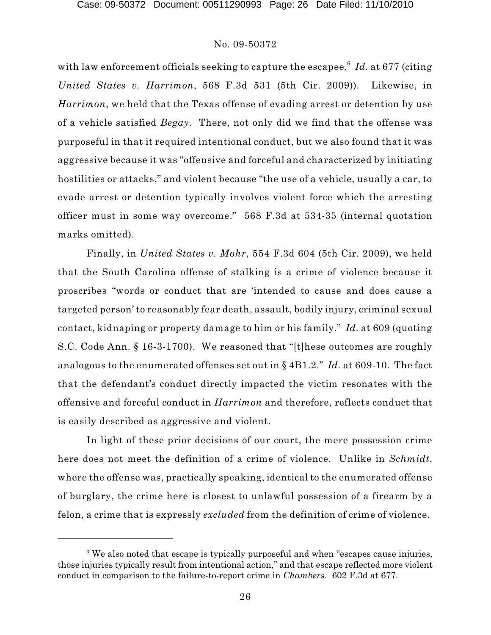with law enforcement officials seeking to capture the escapee.<sup>6</sup> Id. at 677 (citing *United States v. Harrimon*, 568 F.3d 531 (5th Cir. 2009)). Likewise, in *Harrimon*, we held that the Texas offense of evading arrest or detention by use of a vehicle satisfied *Begay*. There, not only did we find that the offense was purposeful in that it required intentional conduct, but we also found that it was aggressive because it was "offensive and forceful and characterized by initiating hostilities or attacks," and violent because "the use of a vehicle, usually a car, to evade arrest or detention typically involves violent force which the arresting officer must in some way overcome." 568 F.3d at 534-35 (internal quotation marks omitted).

Finally, in *United States v. Mohr*, 554 F.3d 604 (5th Cir. 2009), we held that the South Carolina offense of stalking is a crime of violence because it proscribes "words or conduct that are 'intended to cause and does cause a targeted person' to reasonably fear death, assault, bodily injury, criminal sexual contact, kidnaping or property damage to him or his family." *Id.* at 609 (quoting S.C. Code Ann. § 16-3-1700). We reasoned that "[t]hese outcomes are roughly analogous to the enumerated offenses set out in § 4B1.2." *Id.* at 609-10. The fact that the defendant's conduct directly impacted the victim resonates with the offensive and forceful conduct in *Harrimon* and therefore, reflects conduct that is easily described as aggressive and violent.

In light of these prior decisions of our court, the mere possession crime here does not meet the definition of a crime of violence. Unlike in *Schmidt*, where the offense was, practically speaking, identical to the enumerated offense of burglary, the crime here is closest to unlawful possession of a firearm by a felon, a crime that is expressly *excluded* from the definition of crime of violence.

 $\degree$  We also noted that escape is typically purposeful and when "escapes cause injuries, those injuries typically result from intentional action," and that escape reflected more violent conduct in comparison to the failure-to-report crime in *Chambers*. 602 F.3d at 677.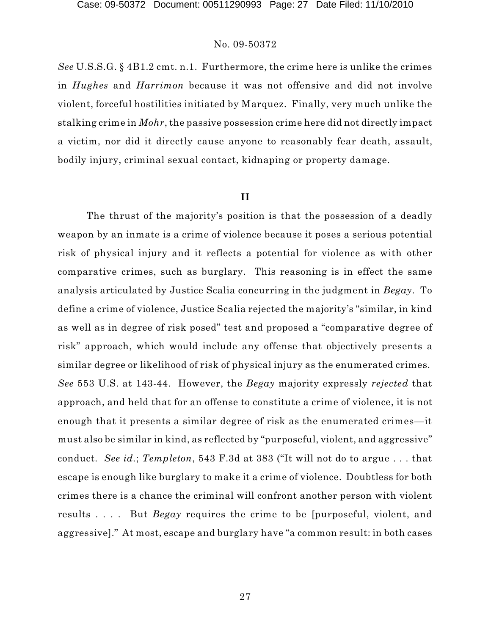*See* U.S.S.G. § 4B1.2 cmt. n.1. Furthermore, the crime here is unlike the crimes in *Hughes* and *Harrimon* because it was not offensive and did not involve violent, forceful hostilities initiated by Marquez. Finally, very much unlike the stalking crime in *Mohr*, the passive possession crime here did not directly impact a victim, nor did it directly cause anyone to reasonably fear death, assault, bodily injury, criminal sexual contact, kidnaping or property damage.

#### **II**

The thrust of the majority's position is that the possession of a deadly weapon by an inmate is a crime of violence because it poses a serious potential risk of physical injury and it reflects a potential for violence as with other comparative crimes, such as burglary. This reasoning is in effect the same analysis articulated by Justice Scalia concurring in the judgment in *Begay*. To define a crime of violence, Justice Scalia rejected the majority's "similar, in kind as well as in degree of risk posed" test and proposed a "comparative degree of risk" approach, which would include any offense that objectively presents a similar degree or likelihood of risk of physical injury as the enumerated crimes. *See* 553 U.S. at 143-44. However, the *Begay* majority expressly *rejected* that approach, and held that for an offense to constitute a crime of violence, it is not enough that it presents a similar degree of risk as the enumerated crimes—it must also be similar in kind, as reflected by "purposeful, violent, and aggressive" conduct. *See id.*; *Templeton*, 543 F.3d at 383 ("It will not do to argue . . . that escape is enough like burglary to make it a crime of violence. Doubtless for both crimes there is a chance the criminal will confront another person with violent results . . . . But *Begay* requires the crime to be [purposeful, violent, and aggressive]." At most, escape and burglary have "a common result: in both cases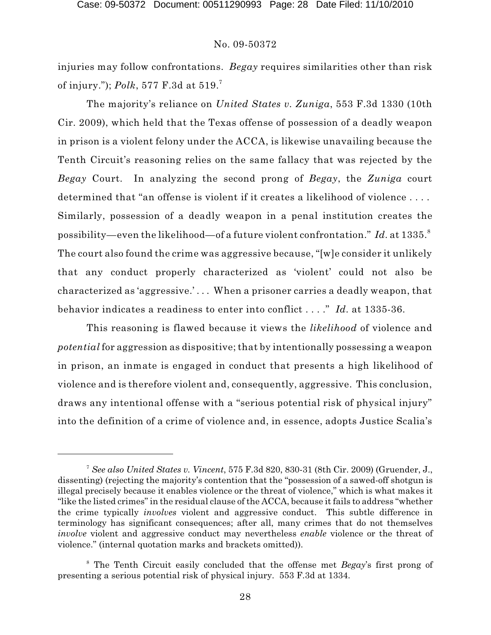injuries may follow confrontations. *Begay* requires similarities other than risk of injury."); *Polk*, 577 F.3d at 519. 7

The majority's reliance on *United States v. Zuniga*, 553 F.3d 1330 (10th Cir. 2009), which held that the Texas offense of possession of a deadly weapon in prison is a violent felony under the ACCA, is likewise unavailing because the Tenth Circuit's reasoning relies on the same fallacy that was rejected by the *Begay* Court. In analyzing the second prong of *Begay*, the *Zuniga* court determined that "an offense is violent if it creates a likelihood of violence . . . . Similarly, possession of a deadly weapon in a penal institution creates the possibility—even the likelihood—of a future violent confrontation." *Id.* at 1335. 8 The court also found the crime was aggressive because, "[w]e consider it unlikely that any conduct properly characterized as 'violent' could not also be characterized as 'aggressive.' . . . When a prisoner carries a deadly weapon, that behavior indicates a readiness to enter into conflict . . . ." *Id.* at 1335-36.

This reasoning is flawed because it views the *likelihood* of violence and *potential* for aggression as dispositive; that by intentionally possessing a weapon in prison, an inmate is engaged in conduct that presents a high likelihood of violence and is therefore violent and, consequently, aggressive. This conclusion, draws any intentional offense with a "serious potential risk of physical injury" into the definition of a crime of violence and, in essence, adopts Justice Scalia's

*See also United States v. Vincent*, 575 F.3d 820, 830-31 (8th Cir. 2009) (Gruender, J., <sup>7</sup> dissenting) (rejecting the majority's contention that the "possession of a sawed-off shotgun is illegal precisely because it enables violence or the threat of violence," which is what makes it "like the listed crimes" in the residual clause of the ACCA, because it fails to address "whether the crime typically *involves* violent and aggressive conduct. This subtle difference in terminology has significant consequences; after all, many crimes that do not themselves *involve* violent and aggressive conduct may nevertheless *enable* violence or the threat of violence." (internal quotation marks and brackets omitted)).

<sup>&</sup>lt;sup>8</sup> The Tenth Circuit easily concluded that the offense met *Begay*'s first prong of presenting a serious potential risk of physical injury. 553 F.3d at 1334.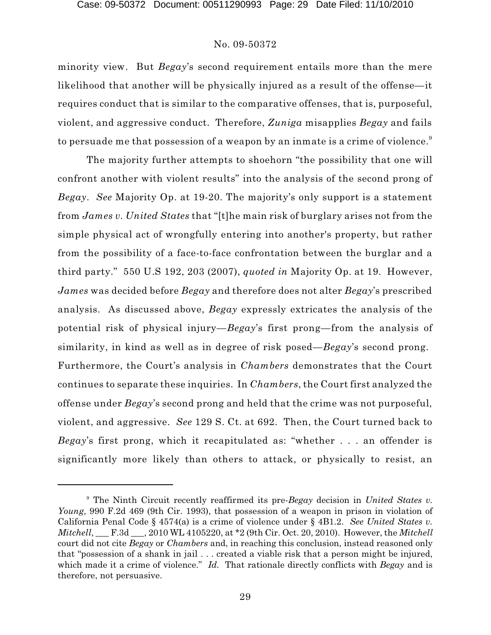minority view. But *Begay*'s second requirement entails more than the mere likelihood that another will be physically injured as a result of the offense—it requires conduct that is similar to the comparative offenses, that is, purposeful, violent, and aggressive conduct. Therefore, *Zuniga* misapplies *Begay* and fails to persuade me that possession of a weapon by an inmate is a crime of violence. $^{\textrm{\textregistered}}$ 

The majority further attempts to shoehorn "the possibility that one will confront another with violent results" into the analysis of the second prong of *Begay*. *See* Majority Op. at 19-20. The majority's only support is a statement from *James v. United States* that "[t]he main risk of burglary arises not from the simple physical act of wrongfully entering into another's property, but rather from the possibility of a face-to-face confrontation between the burglar and a third party." 550 U.S 192, 203 (2007), *quoted in* Majority Op. at 19. However, *James* was decided before *Begay* and therefore does not alter *Begay*'s prescribed analysis. As discussed above, *Begay* expressly extricates the analysis of the potential risk of physical injury—*Begay*'s first prong—from the analysis of similarity, in kind as well as in degree of risk posed—*Begay*'s second prong. Furthermore, the Court's analysis in *Chambers* demonstrates that the Court continues to separate these inquiries. In *Chambers*, the Court first analyzed the offense under *Begay*'s second prong and held that the crime was not purposeful, violent, and aggressive. *See* 129 S. Ct. at 692. Then, the Court turned back to *Begay*'s first prong, which it recapitulated as: "whether . . . an offender is significantly more likely than others to attack, or physically to resist, an

<sup>&</sup>lt;sup>9</sup> The Ninth Circuit recently reaffirmed its pre-*Begay* decision in *United States v. Young*, 990 F.2d 469 (9th Cir. 1993), that possession of a weapon in prison in violation of California Penal Code § 4574(a) is a crime of violence under § 4B1.2. *See United States v. Mitchell*, \_\_\_ F.3d \_\_\_, 2010 WL 4105220, at \*2 (9th Cir. Oct. 20, 2010). However, the *Mitchell* court did not cite *Begay* or *Chambers* and, in reaching this conclusion, instead reasoned only that "possession of a shank in jail . . . created a viable risk that a person might be injured, which made it a crime of violence." *Id.* That rationale directly conflicts with *Begay* and is therefore, not persuasive.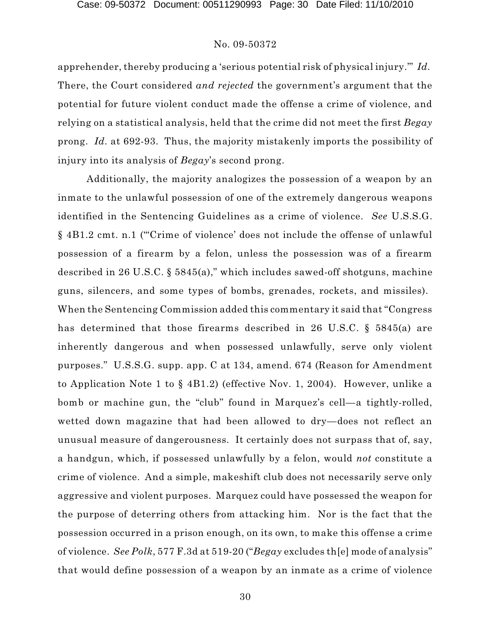apprehender, thereby producing a 'serious potential risk of physical injury.'" *Id.* There, the Court considered *and rejected* the government's argument that the potential for future violent conduct made the offense a crime of violence, and relying on a statistical analysis, held that the crime did not meet the first *Begay* prong. *Id.* at 692-93. Thus, the majority mistakenly imports the possibility of injury into its analysis of *Begay*'s second prong.

Additionally, the majority analogizes the possession of a weapon by an inmate to the unlawful possession of one of the extremely dangerous weapons identified in the Sentencing Guidelines as a crime of violence. *See* U.S.S.G. § 4B1.2 cmt. n.1 ("'Crime of violence' does not include the offense of unlawful possession of a firearm by a felon, unless the possession was of a firearm described in 26 U.S.C. § 5845(a)," which includes sawed-off shotguns, machine guns, silencers, and some types of bombs, grenades, rockets, and missiles). When the Sentencing Commission added this commentary it said that "Congress has determined that those firearms described in 26 U.S.C. § 5845(a) are inherently dangerous and when possessed unlawfully, serve only violent purposes." U.S.S.G. supp. app. C at 134, amend. 674 (Reason for Amendment to Application Note 1 to § 4B1.2) (effective Nov. 1, 2004). However, unlike a bomb or machine gun, the "club" found in Marquez's cell—a tightly-rolled, wetted down magazine that had been allowed to dry—does not reflect an unusual measure of dangerousness. It certainly does not surpass that of, say, a handgun, which, if possessed unlawfully by a felon, would *not* constitute a crime of violence. And a simple, makeshift club does not necessarily serve only aggressive and violent purposes. Marquez could have possessed the weapon for the purpose of deterring others from attacking him. Nor is the fact that the possession occurred in a prison enough, on its own, to make this offense a crime of violence. *See Polk*, 577 F.3d at 519-20 ("*Begay* excludes th[e] mode of analysis" that would define possession of a weapon by an inmate as a crime of violence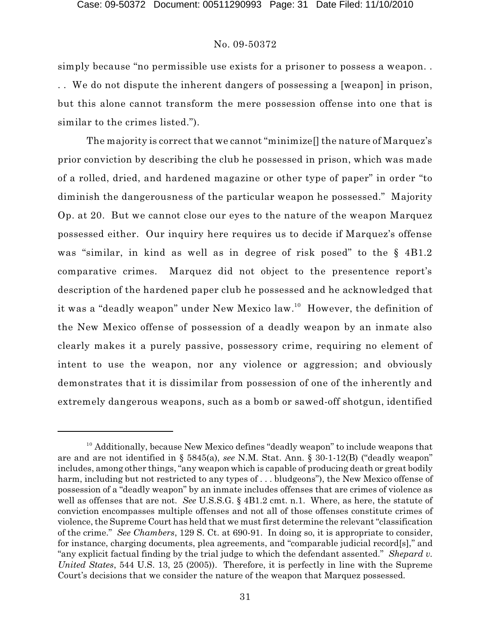simply because "no permissible use exists for a prisoner to possess a weapon. . . . We do not dispute the inherent dangers of possessing a [weapon] in prison, but this alone cannot transform the mere possession offense into one that is similar to the crimes listed.").

The majority is correct that we cannot "minimize[] the nature of Marquez's prior conviction by describing the club he possessed in prison, which was made of a rolled, dried, and hardened magazine or other type of paper" in order "to diminish the dangerousness of the particular weapon he possessed." Majority Op. at 20. But we cannot close our eyes to the nature of the weapon Marquez possessed either. Our inquiry here requires us to decide if Marquez's offense was "similar, in kind as well as in degree of risk posed" to the § 4B1.2 comparative crimes. Marquez did not object to the presentence report's description of the hardened paper club he possessed and he acknowledged that it was a "deadly weapon" under New Mexico law.<sup>10</sup> However, the definition of the New Mexico offense of possession of a deadly weapon by an inmate also clearly makes it a purely passive, possessory crime, requiring no element of intent to use the weapon, nor any violence or aggression; and obviously demonstrates that it is dissimilar from possession of one of the inherently and extremely dangerous weapons, such as a bomb or sawed-off shotgun, identified

 $10$  Additionally, because New Mexico defines "deadly weapon" to include weapons that are and are not identified in § 5845(a), *see* N.M. Stat. Ann. § 30-1-12(B) ("deadly weapon" includes, among other things, "any weapon which is capable of producing death or great bodily harm, including but not restricted to any types of ... bludgeons", the New Mexico offense of possession of a "deadly weapon" by an inmate includes offenses that are crimes of violence as well as offenses that are not. *See* U.S.S.G. § 4B1.2 cmt. n.1. Where, as here, the statute of conviction encompasses multiple offenses and not all of those offenses constitute crimes of violence, the Supreme Court has held that we must first determine the relevant "classification of the crime." *See Chambers*, 129 S. Ct. at 690-91. In doing so, it is appropriate to consider, for instance, charging documents, plea agreements, and "comparable judicial record[s]," and "any explicit factual finding by the trial judge to which the defendant assented." *Shepard v. United States*, 544 U.S. 13, 25 (2005)). Therefore, it is perfectly in line with the Supreme Court's decisions that we consider the nature of the weapon that Marquez possessed.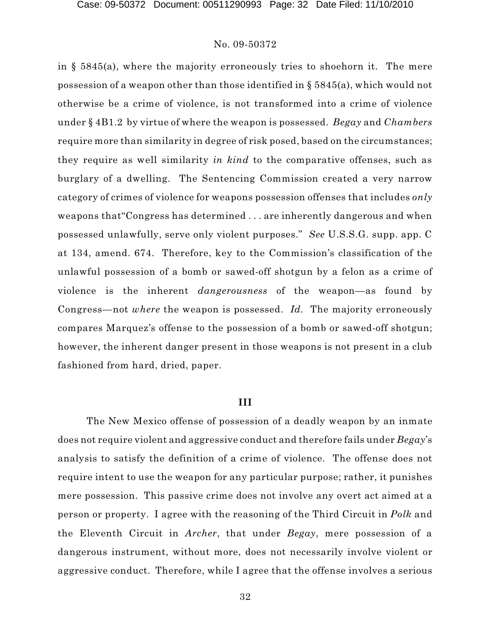in  $\S$  5845(a), where the majority erroneously tries to shoehorn it. The mere possession of a weapon other than those identified in § 5845(a), which would not otherwise be a crime of violence, is not transformed into a crime of violence under § 4B1.2 by virtue of where the weapon is possessed. *Begay* and *Chambers* require more than similarity in degree of risk posed, based on the circumstances; they require as well similarity *in kind* to the comparative offenses, such as burglary of a dwelling. The Sentencing Commission created a very narrow category of crimes of violence for weapons possession offenses that includes *only* weapons that"Congress has determined . . . are inherently dangerous and when possessed unlawfully, serve only violent purposes." *See* U.S.S.G. supp. app. C at 134, amend. 674. Therefore, key to the Commission's classification of the unlawful possession of a bomb or sawed-off shotgun by a felon as a crime of violence is the inherent *dangerousness* of the weapon—as found by Congress—not *where* the weapon is possessed. *Id.* The majority erroneously compares Marquez's offense to the possession of a bomb or sawed-off shotgun; however, the inherent danger present in those weapons is not present in a club fashioned from hard, dried, paper.

### **III**

The New Mexico offense of possession of a deadly weapon by an inmate does not require violent and aggressive conduct and therefore fails under *Begay*'s analysis to satisfy the definition of a crime of violence. The offense does not require intent to use the weapon for any particular purpose; rather, it punishes mere possession. This passive crime does not involve any overt act aimed at a person or property. I agree with the reasoning of the Third Circuit in *Polk* and the Eleventh Circuit in *Archer*, that under *Begay*, mere possession of a dangerous instrument, without more, does not necessarily involve violent or aggressive conduct. Therefore, while I agree that the offense involves a serious